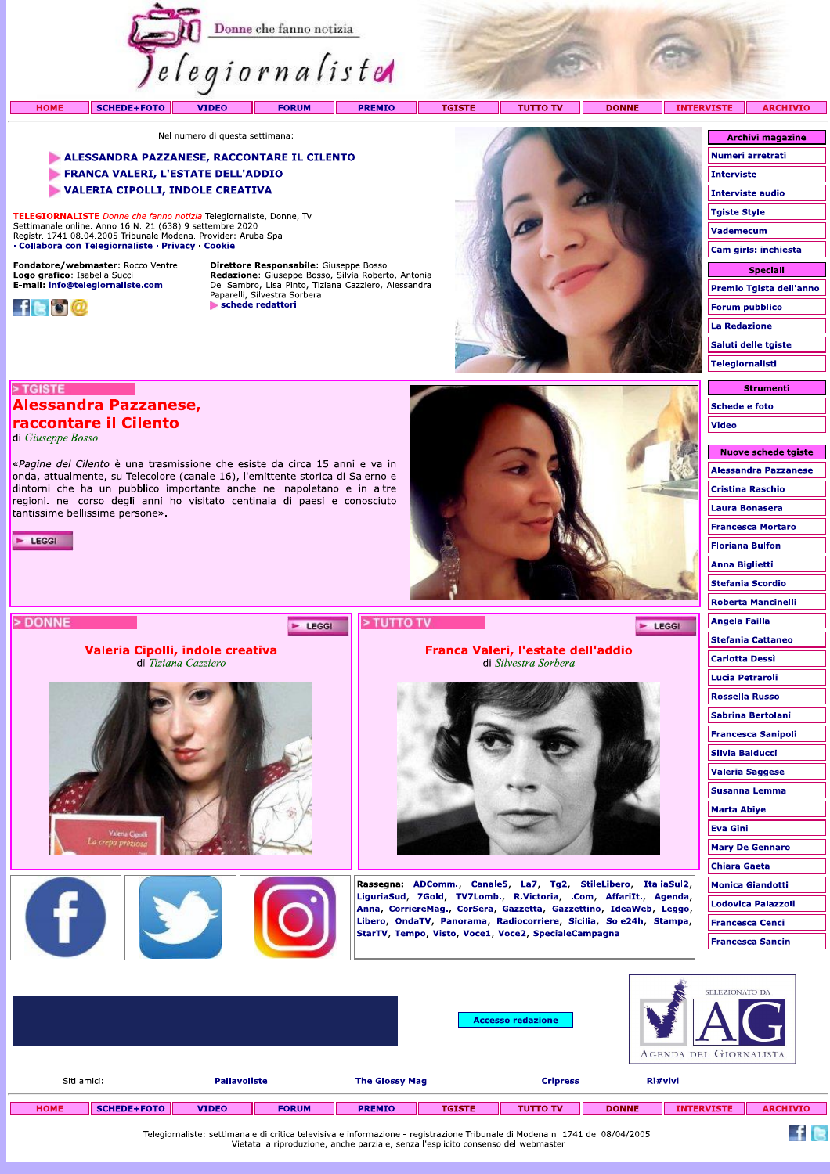

Nel numero di questa settimana:

## ALESSANDRA PAZZANESE, RACCONTARE IL CILENTO

«Pagine del Cilento è una trasmissione che esiste da circa 15 anni e va in onda, attualmente, su Telecolore (canale 16), l'emittente storica di Salerno e dintorni che ha un pubblico importante anche nel napoletano e in altre regioni. nel corso degli anni ho visitato centinaia di paesi e conosciuto

Valeria Cipolli, indole creativa

di Tiziana Cazziero

Y

- FRANCA VALERI, L'ESTATE DELL'ADDIO
- VALERIA CIPOLLI, INDOLE CREATIVA

TELEGIORNALISTE Donne che fanno notizia Telegiornaliste, Donne, Tv Settimanale online. Anno 16 N. 21 (638) 9 settembre 2020<br>Registr. 1741 08.04.2005 Tribunale Modena. Provider: Aruba Spa · Collabora con Telegiornaliste · Privacy · Cookie

Fondatore/webmaster: Rocco Ventre Logo grafico: Isabella Succi<br>E-mail: info@telegiornaliste.com

**Alessandra Pazzanese,** raccontare il Cilento

tantissime bellissime persone».



> TGISTE

E LEGGI

> DONNE

di Giuseppe Bosso

Direttore Responsabile: Giuseppe Bosso **Redazione:** Giuseppe Bosso, Silvia Roberto, Antonia<br>Del Sambro, Lisa Pinto, Tiziana Cazziero, Alessandra<br>Paparelli, Silvestra Sorbera schede redattori

E LEGGI



Franca Valeri, l'estate dell'addio

di Silvestra Sorbera

Rassegna: ADComm., Canale5, La7, Tg2, StileLibero, ItaliaSul2, LiguriaSud, 7Gold, TV7Lomb., R.Victoria, .Com, AffariIt., Agenda,

Anna, CorriereMag., CorSera, Gazzetta, Gazzettino, IdeaWeb, Leggo, Libero, OndaTV, Panorama, Radiocorriere, Sicilia, Sole24h, Stampa,

StarTV, Tempo, Visto, Voce1, Voce2, SpecialeCampagna

| <b>ISTE</b>             | <b>ARCHIVIO</b>         |  |  |  |  |  |  |  |
|-------------------------|-------------------------|--|--|--|--|--|--|--|
|                         |                         |  |  |  |  |  |  |  |
| <b>Archivi magazine</b> |                         |  |  |  |  |  |  |  |
|                         | Numeri arretrati        |  |  |  |  |  |  |  |
| <b>Interviste</b>       |                         |  |  |  |  |  |  |  |
|                         | Interviste audio        |  |  |  |  |  |  |  |
| <b>Tgiste Style</b>     |                         |  |  |  |  |  |  |  |
| <b>Vademecum</b>        |                         |  |  |  |  |  |  |  |
|                         | Cam girls: inchiesta    |  |  |  |  |  |  |  |
|                         | Speciali                |  |  |  |  |  |  |  |
|                         | Premio Tgista dell'anno |  |  |  |  |  |  |  |
|                         | <b>Forum pubblico</b>   |  |  |  |  |  |  |  |
| <b>La Redazione</b>     |                         |  |  |  |  |  |  |  |
|                         | Saluti delle tgiste     |  |  |  |  |  |  |  |
| <b>Telegiornalisti</b>  |                         |  |  |  |  |  |  |  |
|                         |                         |  |  |  |  |  |  |  |

| Strumenti     |
|---------------|
| Schede e foto |
| <b>Video</b>  |
|               |

Nuove schede taiste

| <b>Alessandra Pazzanese</b> |
|-----------------------------|
| <b>Cristina Raschio</b>     |
| Laura Bonasera              |
| <b>Francesca Mortaro</b>    |
| <b>Floriana Bulfon</b>      |
| Anna Biglietti              |
| <b>Stefania Scordio</b>     |
| <b>Roberta Mancinelli</b>   |
| Angela Failla               |
| <b>Stefania Cattaneo</b>    |
| Carlotta Dessì              |
| Lucia Petraroli             |
| <b>Rossella Russo</b>       |
| Sabrina Bertolani           |
| <b>Francesca Sanipoli</b>   |
| Silvia Balducci             |
| <b>Valeria Saggese</b>      |
| Susanna Lemma               |
| <b>Marta Abiye</b>          |
| <b>Eva Gini</b>             |
| <b>Mary De Gennaro</b>      |
| <b>Chiara Gaeta</b>         |
| <b>Monica Giandotti</b>     |
| <b>Lodovica Palazzoli</b>   |
| Francesca Cenci             |
| <b>Francesca Sancin</b>     |
|                             |

E LEGGI

|                                                             |                    |              | SELEZIONATO DA<br><b>Accesso redazione</b><br>AGENDA DEL GIORNALISTA |               |               |                                                                                                                              |              |                   |                 |
|-------------------------------------------------------------|--------------------|--------------|----------------------------------------------------------------------|---------------|---------------|------------------------------------------------------------------------------------------------------------------------------|--------------|-------------------|-----------------|
| Siti amici:<br><b>Pallavoliste</b><br><b>The Glossy Mag</b> |                    |              |                                                                      |               |               | <b>Cripress</b>                                                                                                              |              | Ri#vivi           |                 |
| <b>HOME</b>                                                 | <b>SCHEDE+FOTO</b> | <b>VIDEO</b> | <b>FORUM</b>                                                         | <b>PREMIO</b> | <b>TGISTE</b> | <b>TUTTO TV</b>                                                                                                              | <b>DONNE</b> | <b>INTERVISTE</b> | <b>ARCHIVIO</b> |
|                                                             |                    |              |                                                                      |               |               | Telegiornaliste: settimanale di critica televisiva e informazione - registrazione Tribunale di Modena n. 1741 del 08/04/2005 |              |                   |                 |

> TUTTO TV

Telegiornaliste: settimanale di critica televisiva e informazione - registrazione Tribunale di Modena n. 1741 del 08/04/2005<br>Vietata la riproduzione, anche parziale, senza l'esplicito consenso del webmaster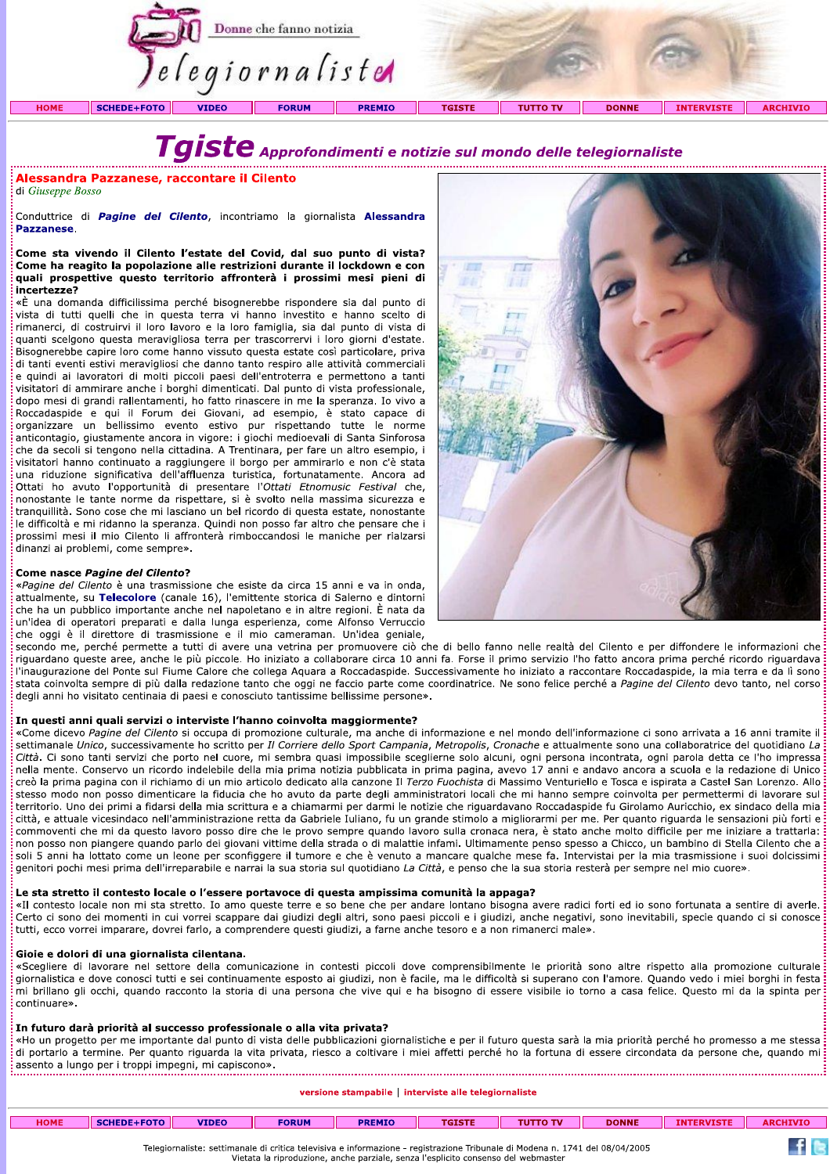

**Example 15 CO Approfondimenti e notizie su<br>
di Giuseppe Bosso<br>
conduttrice di Pagine del Cilento, incontriamo la giornalista Alessandra<br>
Pazzanese.<br>
Come sta vivendo il Cilento ('estate del Covid, dal suo punto di vista?<br>** visitatori di ammirare anche i borghi dimenticati. Dal punto di vista professionale, dopo mesi di grandi rallentamenti, ho fatto rinascere in me la speranza. Io vivo a Roccadaspide e qui il Forum dei Giovani, ad esempio, è stato capace di organizzare un bellissimo evento estivo pur rispettando tutte le norme anticontagio, giustamente ancora in vigore: i giochi medioevali di Santa Sinforosa che da secoli si tengono nella cittadina. A Trentinara, per fare un altro esempio, i visitatori hanno continuato a raggiungere il borgo per ammirarlo e non c'è stata una riduzione significativa dell'affluenza turistica, fortunatamente. Ancora ad Ottati ho avuto l'opportunità di presentare l'Ottati Etnomusic Festival che, nonostante le tante norme da rispettare, si è svolto nella massima sicurezza e tranquillità. Sono cose che mi lasciano un bel ricordo di questa estate, nonostante le difficoltà e mi ridanno la speranza. Quindi non posso far altro che pensare che i prossimi mesi il mio Cilento li affronterà rimboccandosi le maniche per rialzarsi dinanzi ai problemi, come sempre».

## Come nasce Pagine del Cilento?

«Pagine del Cilento è una trasmissione che esiste da circa 15 anni e va in onda, attualmente, su Telecolore (canale 16), l'emittente storica di Salerno e dintorni<br>che ha un pubblico importante anche nel napoletano e in altre regioni. È nata da



traquilità. Sono cose che mi issoino un bei ricordo di queste este, ponostante<br>Le difficoltà e mi ridano la speraza. Quidi non posso far altro che pensare che i<br>dismain resi il mio Cliento la ilfronde le manie va in ordina commoventi che mi da questo lavoro posso dire che le provo sempre quando lavoro sulla cronaca nera, è stato anche molto difficile per me iniziare a trattarla: non posso non piangere quando parlo dei giovani vittime della strada o di malattie infami. Ultimamente penso spesso a Chicco, un bambino di Stella Cilento che a soli 5 anni ha lottato come un leone per sconfiggere il tumore e che è venuto a mancare qualche mese fa. Intervistai per la mia trasmissione i suoi dolcissimi<br>genitori pochi mesi prima dell'irreparabile e narrai la sua sto erritrion. Uno de primi a flats i dela mai scrittura e a chiamamiper darmi per darmi a scritterion. Uno de primi a scritterio a mai scritterio and the main of the compare equation of the compare equation of the compare equ

In futuro darà priorità al successo professionale o alla vita privata?<br>
«Ho un progetto per me importante dal punto di vista delle pubblicazioni giornalistiche e per il futuro questa sarà la mia priorità perché ho promesso

| <b>HOME</b> | SCHEDE+FOTO | <b>VIDEO</b> | <b>FORUM</b> | <b>PREMIO</b> | <b>TGISTE</b> | <b>TUTTO TV</b> | <b>DONNE</b> | <b>INTERVISTE</b> | <b>ARCHIVIO</b> |
|-------------|-------------|--------------|--------------|---------------|---------------|-----------------|--------------|-------------------|-----------------|
|             |             |              |              |               |               |                 |              |                   |                 |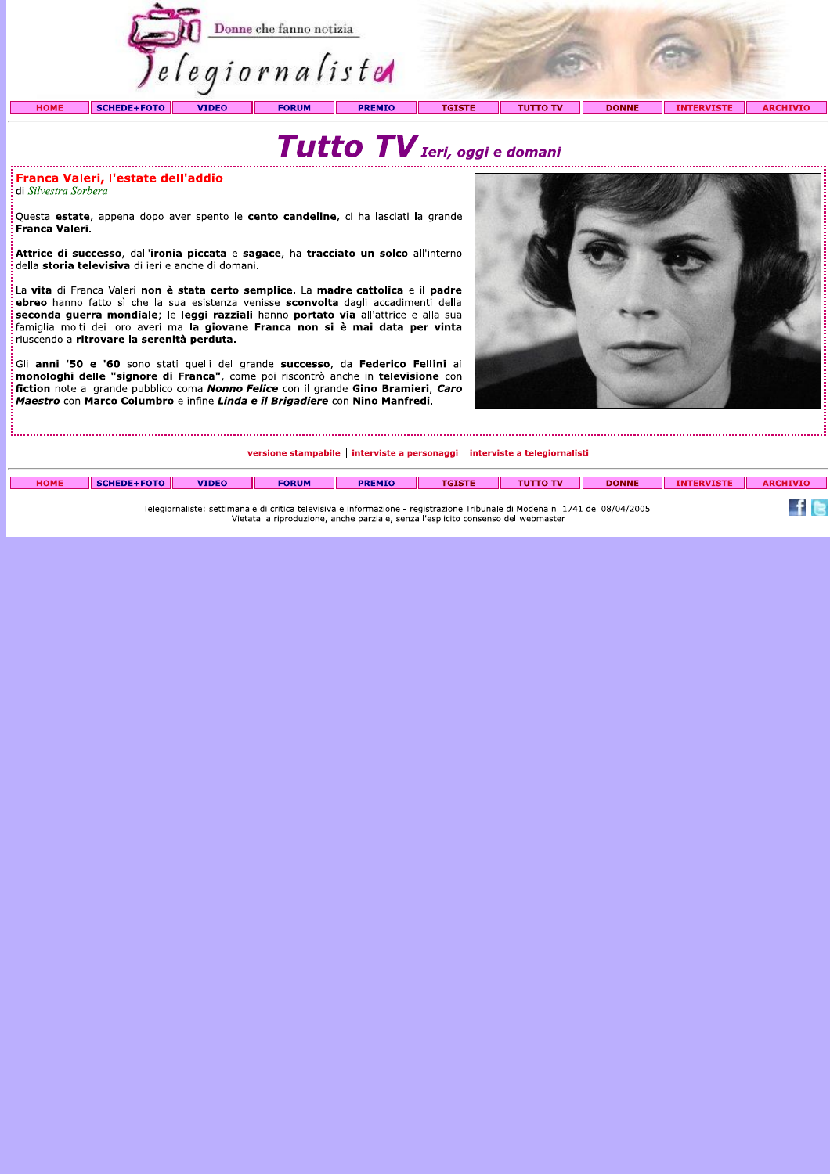

Franca Valeri, l'estate dell'addio

di Silvestra Sorbera

Questa estate, appena dopo aver spento le cento candeline, ci ha lasciati la grande Franca Valeri.

Attrice di successo, dall'ironia piccata e sagace, ha tracciato un solco all'interno della storia televisiva di ieri e anche di domani.

La vita di Franca Valeri non è stata certo semplice. La madre cattolica e il padre ebreo hanno fatto sì che la sua esistenza venisse **sconvolta** dagli accadimenti della seconda guerra mondiale; le leggi razziali hanno portato via all'attrice e alla sua famiglia molti dei loro averi ma la giovane Franca non si è mai data per vinta riuscendo a ritrovare la serenità perduta.

Gli anni '50 e '60 sono stati quelli del grande successo, da Federico Fellini ai manne sur conservator se conservator de la grande successo, au reactive remin al<br>monologhi delle "signore di Franca", come poi riscontrò anche in televisione con interessione con in televisione con Maestro con Marco Columbro e infine Linda e il Brigadiere con Nino Manfredi.



versione stampabile | interviste a personaggi | interviste a telegiornalisti

| <b>HOME</b>                                                                                                                  |  | <b>VIDEO</b> | <b>FORUM</b> | <b>PREMIC</b> |  | . TV | <b>DONNE</b> |  |  |
|------------------------------------------------------------------------------------------------------------------------------|--|--------------|--------------|---------------|--|------|--------------|--|--|
|                                                                                                                              |  |              |              |               |  |      |              |  |  |
| Telegiornaliste: settimanale di critica televisiva e informazione - registrazione Tribunale di Modena n. 1741 del 08/04/2005 |  |              |              |               |  |      |              |  |  |

Vietata la riproduzione, anche parziale, senza l'esplicito consenso del webmaster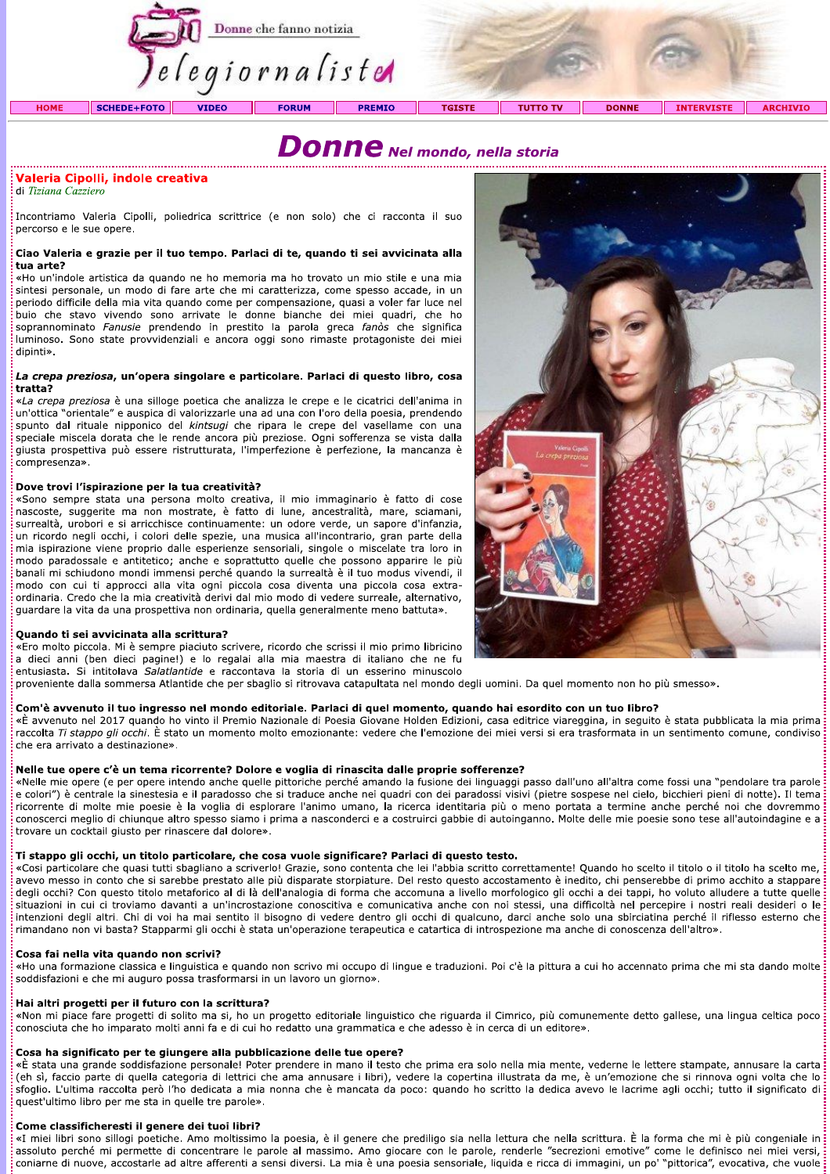

# $\boldsymbol{Donne}$  Nel mondo, nella storia

## Valeria Cipolli, indole creativa

di Tiziana Cazziero

Incontriamo Valeria Cipolli, poliedrica scrittrice (e non solo) che ci racconta il suo percorso e le sue opere.

# Ciao Valeria e grazie per il tuo tempo. Parlaci di te, quando ti sei avvicinata alla<br>tua arte?

**Valeria Cipolili, indole creativa**<br>
di Tiziana Cazziero<br>
Incontriamo Valeria Cipolli, poliedrica scrittrice (e non solo) che ci racconta il suo<br>
percroso e le sue opere.<br>
Incontriamo Valeria care per il tuo tempo. Parkac ordinaria. Credo che la mia creatività derivi dal mio modo di vedere surreale, alternativo, guardare la vita da una prospettiva non ordinaria, quella generalmente meno battuta».

## Quando ti sei avvicinata alla scrittura?

The molto piccola. Mi è sempre piaciuto scrivere, ricordo che scrissi il mio primo libricino a dieci anni (ben dieci pagine!) e lo regalai alla mia maestra di italiano che ne fu entusiasta. Si intitolava Salatlantide e raccontava la storia di un esserino minuscolo

proveniente dalla sommersa Atlantide che per sbaglio si ritrovava catapultata nel mondo degli uomini. Da quel momento non ho più smesso».

## Com'è avvenuto il tuo ingresso nel mondo editoriale. Parlaci di quel momento, quando hai esordito con un tuo libro?

«È avvenuto nel 2017 quando ho vinto il Premio Nazionale di Poesia Giovane Holden Edizioni, casa editrice viareggina, in seguito è stata pubblicata la mia prima raccolta Ti stappo gli occhi. È stato un momento molto emozionante: vedere che l'emozione dei miei versi si era trasformata in un sentimento comune, condiviso<br>che era arrivato a destinazione»

proveniente dalla sommersa Atlantide che per sbaglio si ritrovavo catapultata nel mondo degli uomini. Da quel momento non ho più smesso».<br>
Com Va avvenuto il tuo ingresso nel mondo editoriale. Parlad di quel momento, quand

«Ho una formazione classica e linguistica e quando non scrivo mi occupo di lingue e traduzioni. Poi c'è la pittura a cui ho accennato prima che mi sta dando molte<br>soddisfazioni e che mi auguro possa trasformarsi in un lavo

intenzioni degli altri. Chi di voi ha mai sentito il bisogno di vedere dentro gli occhi di qualcuno, darci anche solo una sbirciatina perché il riflesso esterno che infinandano non vi basta? Stapparmi gli occhi è stata un'

coniarne di nuove, accostarle ad altre afferenti a sensi diversi. La mia è una poesia sensoriale, liquida e ricca di immagini, un po' "pittorica", evocativa, che vuole